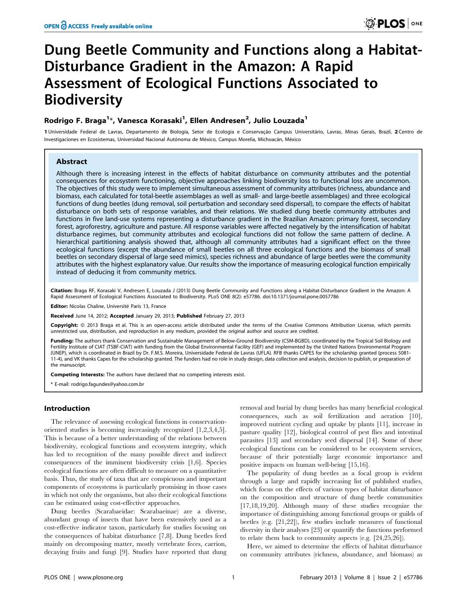# Dung Beetle Community and Functions along a Habitat-Disturbance Gradient in the Amazon: A Rapid Assessment of Ecological Functions Associated to Biodiversity

# Rodrigo F. Braga<sup>1</sup>\*, Vanesca Korasaki<sup>1</sup>, Ellen Andresen<sup>2</sup>, Julio Louzada<sup>1</sup>

1 Universidade Federal de Lavras, Departamento de Biologia, Setor de Ecologia e Conservação Campus Universitário, Lavras, Minas Gerais, Brazil, 2 Centro de Investigaciones en Ecosistemas, Universidad Nacional Autónoma de México, Campus Morelia, Michoacán, México

## Abstract

Although there is increasing interest in the effects of habitat disturbance on community attributes and the potential consequences for ecosystem functioning, objective approaches linking biodiversity loss to functional loss are uncommon. The objectives of this study were to implement simultaneous assessment of community attributes (richness, abundance and biomass, each calculated for total-beetle assemblages as well as small- and large-beetle assemblages) and three ecological functions of dung beetles (dung removal, soil perturbation and secondary seed dispersal), to compare the effects of habitat disturbance on both sets of response variables, and their relations. We studied dung beetle community attributes and functions in five land-use systems representing a disturbance gradient in the Brazilian Amazon: primary forest, secondary forest, agroforestry, agriculture and pasture. All response variables were affected negatively by the intensification of habitat disturbance regimes, but community attributes and ecological functions did not follow the same pattern of decline. A hierarchical partitioning analysis showed that, although all community attributes had a significant effect on the three ecological functions (except the abundance of small beetles on all three ecological functions and the biomass of small beetles on secondary dispersal of large seed mimics), species richness and abundance of large beetles were the community attributes with the highest explanatory value. Our results show the importance of measuring ecological function empirically instead of deducing it from community metrics.

Citation: Braga RF, Korasaki V, Andresen E, Louzada J (2013) Dung Beetle Community and Functions along a Habitat-Disturbance Gradient in the Amazon: A Rapid Assessment of Ecological Functions Associated to Biodiversity. PLoS ONE 8(2): e57786. doi:10.1371/journal.pone.0057786

Editor: Nicolas Chaline, Université Paris 13, France

Received June 14, 2012; Accepted January 29, 2013; Published February 27, 2013

Copyright: © 2013 Braga et al. This is an open-access article distributed under the terms of the Creative Commons Attribution License, which permits unrestricted use, distribution, and reproduction in any medium, provided the original author and source are credited.

Funding: The authors thank Conservation and Sustainable Management of Below-Ground Biodiversity (CSM-BGBD), coordinated by the Tropical Soil Biology and Fertility Institute of CIAT (TSBF-CIAT) with funding from the Global Environmental Facility (GEF) and implemented by the United Nations Environmental Program (UNEP), which is coordinated in Brazil by Dr. F.M.S. Moreira, Universidade Federal de Lavras (UFLA). RFB thanks CAPES for the scholarship granted (process 5081- 11-4), and VK thanks Capes for the scholarship granted. The funders had no role in study design, data collection and analysis, decision to publish, or preparation of the manuscript.

Competing Interests: The authors have declared that no competing interests exist.

\* E-mail: rodrigo.fagundes@yahoo.com.br

# Introduction

The relevance of assessing ecological functions in conservationoriented studies is becoming increasingly recognized [1,2,3,4,5]. This is because of a better understanding of the relations between biodiversity, ecological functions and ecosystem integrity, which has led to recognition of the many possible direct and indirect consequences of the imminent biodiversity crisis [1,6]. Species ecological functions are often difficult to measure on a quantitative basis. Thus, the study of taxa that are conspicuous and important components of ecosystems is particularly promising in those cases in which not only the organisms, but also their ecological functions can be estimated using cost-effective approaches.

Dung beetles (Scarabaeidae: Scarabaeinae) are a diverse, abundant group of insects that have been extensively used as a cost-effective indicator taxon, particularly for studies focusing on the consequences of habitat disturbance [7,8]. Dung beetles feed mainly on decomposing matter, mostly vertebrate feces, carrion, decaying fruits and fungi [9]. Studies have reported that dung

removal and burial by dung beetles has many beneficial ecological consequences, such as soil fertilization and aeration [10], improved nutrient cycling and uptake by plants [11], increase in pasture quality [12], biological control of pest flies and intestinal parasites [13] and secondary seed dispersal [14]. Some of these ecological functions can be considered to be ecosystem services, because of their potentially large economic importance and positive impacts on human well-being [15,16].

The popularity of dung beetles as a focal group is evident through a large and rapidly increasing list of published studies, which focus on the effects of various types of habitat disturbance on the composition and structure of dung beetle communities [17,18,19,20]. Although many of these studies recognize the importance of distinguishing among functional groups or guilds of beetles (e.g. [21,22]), few studies include measures of functional diversity in their analyses [23] or quantify the functions performed to relate them back to community aspects (e.g. [24,25,26]).

Here, we aimed to determine the effects of habitat disturbance on community attributes (richness, abundance, and biomass) as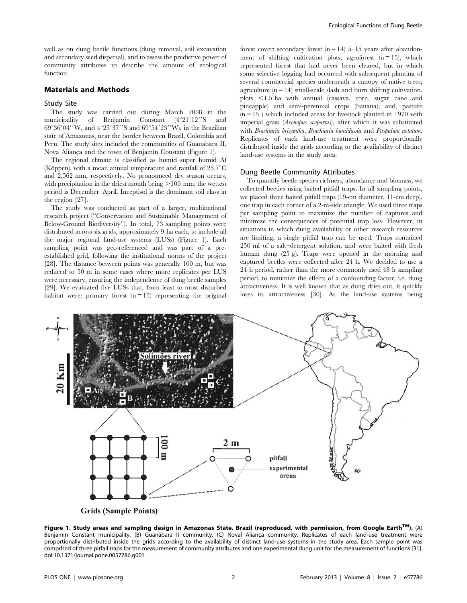well as on dung beetle functions (dung removal, soil excavation and secondary seed dispersal), and to assess the predictive power of community attributes to describe the amount of ecological function.

## Materials and Methods

# Study Site

The study was carried out during March 2008 in the municipality of Benjamin Constant (4°21'12"S and 69°36′04′′W, and 4°25′37′′S and 69°54′23′′W), in the Brazilian state of Amazonas, near the border between Brazil, Colombia and Peru. The study sites included the communities of Guanabara II, Nova Aliança and the town of Benjamin Constant (Figure 1).

The regional climate is classified as humid–super humid Af (Köppen), with a mean annual temperature and rainfall of  $25.7^{\circ}$ C and 2,562 mm, respectively. No pronounced dry season occurs, with precipitation in the driest month being  $>100$  mm; the wettest period is December–April. Inceptisol is the dominant soil class in the region [27].

The study was conducted as part of a larger, multinational research project (''Conservation and Sustainable Management of Below-Ground Biodiversity''). In total, 73 sampling points were distributed across six grids, approximately 9 ha each, to include all the major regional land-use systems (LUSs) (Figure 1). Each sampling point was geo-referenced and was part of a preestablished grid, following the institutional norms of the project [28]. The distance between points was generally 100 m, but was reduced to 50 m in some cases where more replicates per LUS were necessary, ensuring the independence of dung beetle samples [29]. We evaluated five LUSs that, from least to most disturbed habitat were: primary forest  $(n = 15)$  representing the original

forest cover; secondary forest  $(n = 14)$  5–15 years after abandonment of shifting cultivation plots; agroforest  $(n = 15)$ , which represented forest that had never been cleared, but in which some selective logging had occurred with subsequent planting of several commercial species underneath a canopy of native trees; agriculture  $(n = 14)$  small-scale slash and burn shifting cultivation, plots ,1.5 ha with annual (cassava, corn, sugar cane and pineapple) and semi-perennial crops (banana); and, pasture  $(n = 15)$  which included areas for livestock planted in 1970 with imperial grass (Axonopus scoparius), after which it was substituted with Brachiaria brizantha, Brachiaria humidicola and Paspalum notatum. Replicates of each land-use treatment were proportionally distributed inside the grids according to the availability of distinct land-use systems in the study area.

#### Dung Beetle Community Attributes

To quantify beetle species richness, abundance and biomass, we collected beetles using baited pitfall traps. In all sampling points, we placed three baited pitfall traps (19-cm diameter, 11-cm deep), one trap in each corner of a 2-m-side triangle. We used three traps per sampling point to maximize the number of captures and minimize the consequences of potential trap loss. However, in situations in which dung availability or other research resources are limiting, a single pitfall trap can be used. Traps contained 250 ml of a salt+detergent solution, and were baited with fresh human dung (25 g). Traps were opened in the morning and captured beetles were collected after 24 h. We decided to use a 24 h period, rather than the more commonly used 48 h sampling period, to minimize the effects of a confounding factor, i.e. dung attractiveness. It is well known that as dung dries out, it quickly loses its attractiveness [30]. As the land-use systems being



Figure 1. Study areas and sampling design in Amazonas State, Brazil (reproduced, with permission, from Google Earth<sup>TM</sup>). (A) Benjamin Constant municipality. (B) Guanabara II community. (C) Noval Alianca community. Replicates of each land-use treatment were proportionally distributed inside the grids according to the availability of distinct land-use systems in the study area. Each sample point was comprised of three pitfall traps for the measurement of community attributes and one experimental dung unit for the measurement of functions [31]. doi:10.1371/journal.pone.0057786.g001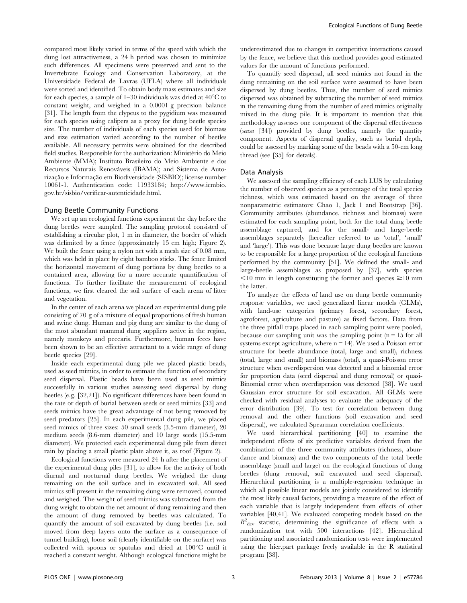compared most likely varied in terms of the speed with which the dung lost attractiveness, a 24 h period was chosen to minimize such differences. All specimens were preserved and sent to the Invertebrate Ecology and Conservation Laboratory, at the Universidade Federal de Lavras (UFLA) where all individuals were sorted and identified. To obtain body mass estimates and size for each species, a sample of  $1-30$  individuals was dried at  $40^{\circ}$ C to constant weight, and weighed in a 0.0001 g precision balance [31]. The length from the clypeus to the pygidium was measured for each species using calipers as a proxy for dung beetle species size. The number of individuals of each species used for biomass and size estimation varied according to the number of beetles available. All necessary permits were obtained for the described field studies. Responsible for the authorization: Ministério do Meio Ambiente (MMA); Instituto Brasileiro do Meio Ambiente e dos Recursos Naturais Renováveis (IBAMA); and Sistema de Autorização e Informação em Biodiversidade (SISBIO); license number 10061-1. Authentication code: 11933184; http://www.icmbio. gov.br/sisbio/verificar-autenticidade.html.

#### Dung Beetle Community Functions

We set up an ecological functions experiment the day before the dung beetles were sampled. The sampling protocol consisted of establishing a circular plot, 1 m in diameter, the border of which was delimited by a fence (approximately 15 cm high; Figure 2). We built the fence using a nylon net with a mesh size of 0.08 mm, which was held in place by eight bamboo sticks. The fence limited the horizontal movement of dung portions by dung beetles to a contained area, allowing for a more accurate quantification of functions. To further facilitate the measurement of ecological functions, we first cleared the soil surface of each arena of litter and vegetation.

In the center of each arena we placed an experimental dung pile consisting of 70 g of a mixture of equal proportions of fresh human and swine dung. Human and pig dung are similar to the dung of the most abundant mammal dung suppliers active in the region, namely monkeys and peccaris. Furthermore, human feces have been shown to be an effective attractant to a wide range of dung beetle species [29].

Inside each experimental dung pile we placed plastic beads, used as seed mimics, in order to estimate the function of secondary seed dispersal. Plastic beads have been used as seed mimics successfully in various studies assessing seed dispersal by dung beetles (e.g. [32,21]). No significant differences have been found in the rate or depth of burial between seeds or seed mimics [33] and seeds mimics have the great advantage of not being removed by seed predators [25]. In each experimental dung pile, we placed seed mimics of three sizes: 50 small seeds (3.5-mm diameter), 20 medium seeds (8.6-mm diameter) and 10 large seeds (15.5-mm diameter). We protected each experimental dung pile from direct rain by placing a small plastic plate above it, as roof (Figure 2).

Ecological functions were measured 24 h after the placement of the experimental dung piles [31], to allow for the activity of both diurnal and nocturnal dung beetles. We weighed the dung remaining on the soil surface and in excavated soil. All seed mimics still present in the remaining dung were removed, counted and weighed. The weight of seed mimics was subtracted from the dung weight to obtain the net amount of dung remaining and then the amount of dung removed by beetles was calculated. To quantify the amount of soil excavated by dung beetles (i.e. soil moved from deep layers onto the surface as a consequence of tunnel building), loose soil (clearly identifiable on the surface) was collected with spoons or spatulas and dried at  $100^{\circ}$ C until it reached a constant weight. Although ecological functions might be

underestimated due to changes in competitive interactions caused by the fence, we believe that this method provides good estimated values for the amount of functions performed.

To quantify seed dispersal, all seed mimics not found in the dung remaining on the soil surface were assumed to have been dispersed by dung beetles. Thus, the number of seed mimics dispersed was obtained by subtracting the number of seed mimics in the remaining dung from the number of seed mimics originally mixed in the dung pile. It is important to mention that this methodology assesses one component of the dispersal effectiveness  $(sensu$  [34]) provided by dung beetles, namely the quantity component. Aspects of dispersal quality, such as burial depth, could be assessed by marking some of the beads with a 50-cm long thread (see [35] for details).

#### Data Analysis

We assessed the sampling efficiency of each LUS by calculating the number of observed species as a percentage of the total species richness, which was estimated based on the average of three nonparametric estimators: Chao 1, Jack 1 and Bootstrap [36]. Community attributes (abundance, richness and biomass) were estimated for each sampling point, both for the total dung beetle assemblage captured, and for the small- and large-beetle assemblages separately (hereafter referred to as 'total', 'small' and 'large'). This was done because large dung beetles are known to be responsible for a large proportion of the ecological functions performed by the community [51]. We defined the small- and large-beetle assemblages as proposed by [37], with species  $\leq$ 10 mm in length constituting the former and species  $\geq$ 10 mm the latter.

To analyze the effects of land use on dung beetle community response variables, we used generalized linear models (GLMs), with land-use categories (primary forest, secondary forest, agroforest, agriculture and pasture) as fixed factors. Data from the three pitfall traps placed in each sampling point were pooled, because our sampling unit was the sampling point  $(n = 15$  for all systems except agriculture, where  $n = 14$ ). We used a Poisson error structure for beetle abundance (total, large and small), richness (total, large and small) and biomass (total), a quasi-Poisson error structure when overdispersion was detected and a binomial error for proportion data (seed dispersal and dung removal) or quasi-Binomial error when overdispersion was detected [38]. We used Gaussian error structure for soil excavation. All GLMs were checked with residual analyses to evaluate the adequacy of the error distribution [39]. To test for correlation between dung removal and the other functions (soil excavation and seed dispersal), we calculated Spearman correlation coefficients.

We used hierarchical partitioning [40] to examine the independent effects of six predictive variables derived from the combination of the three community attributes (richness, abundance and biomass) and the two components of the total beetle assemblage (small and large) on the ecological functions of dung beetles (dung removal, soil excavated and seed dispersal). Hierarchical partitioning is a multiple-regression technique in which all possible linear models are jointly considered to identify the most likely causal factors, providing a measure of the effect of each variable that is largely independent from effects of other variables [40,41]. We evaluated competing models based on the  $R^2_{\text{dev}}$  statistic, determining the significance of effects with a randomization test with 500 interactions [42]. Hierarchical partitioning and associated randomization tests were implemented using the hier.part package freely available in the R statistical program [38].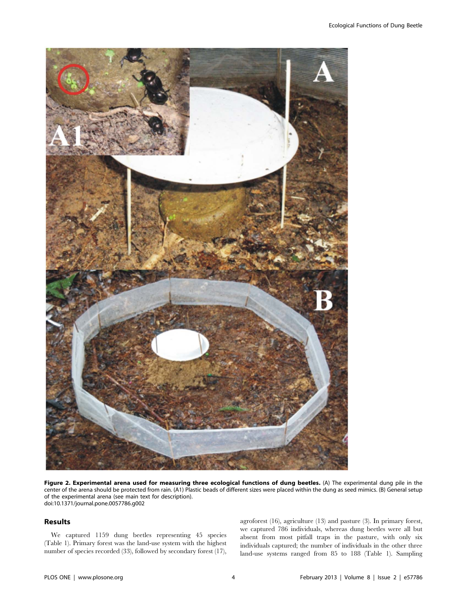

Figure 2. Experimental arena used for measuring three ecological functions of dung beetles. (A) The experimental dung pile in the center of the arena should be protected from rain. (A1) Plastic beads of different sizes were placed within the dung as seed mimics. (B) General setup of the experimental arena (see main text for description). doi:10.1371/journal.pone.0057786.g002

# Results

We captured 1159 dung beetles representing 45 species (Table 1). Primary forest was the land-use system with the highest number of species recorded (33), followed by secondary forest (17), agroforest (16), agriculture (13) and pasture (3). In primary forest, we captured 786 individuals, whereas dung beetles were all but absent from most pitfall traps in the pasture, with only six individuals captured; the number of individuals in the other three land-use systems ranged from 85 to 188 (Table 1). Sampling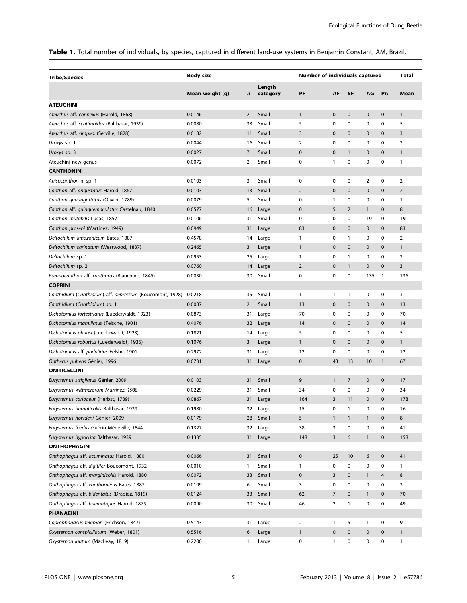Table 1. Total number of individuals, by species, captured in different land-use systems in Benjamin Constant, AM, Brazil.

| Mean weight (g)<br>$\boldsymbol{n}$<br>$\overline{2}$<br>33<br>11<br>16<br>7<br>2<br>3<br>13<br>5<br>16<br>31<br>31<br>14<br>3 | Length<br>category<br>Small<br>Small<br>Small<br>Small<br>Small<br>Small<br>Small<br>Small<br>Small<br>Large<br>Small<br>Large<br>Large      | PF<br>$\mathbf{1}$<br>5<br>3<br>$\overline{2}$<br>$\mathbf 0$<br>$\mathbf 0$<br>0<br>$\overline{2}$<br>$\mathbf 0$<br>$\mathbf{0}$<br>$\pmb{0}$<br>83                                                          | AF<br>0<br>0<br>$\mathbf{0}$<br>0<br>0<br>1<br>0<br>$\pmb{0}$<br>$\mathbf{1}$<br>5<br>0                                                                                                                        | <b>SF</b><br>$\pmb{0}$<br>0<br>$\mathbf 0$<br>0<br>$\mathbf{1}$<br>0<br>0<br>$\pmb{0}$<br>0<br>$\overline{2}$<br>0                                                              | AG<br>$\mathbf 0$<br>0<br>$\mathbf 0$<br>0<br>$\mathbf 0$<br>0<br>2<br>$\mathbf 0$<br>0<br>$\mathbf{1}$                                                    | PA<br>$\pmb{0}$<br>0<br>$\mathbf 0$<br>0<br>$\mathbf 0$<br>$\mathbf 0$<br>0<br>$\mathbf{0}$<br>$\mathbf 0$                                                                                                                                   | Mean<br>$\mathbf{1}$<br>5<br>3<br>$\overline{2}$<br>$\mathbf{1}$<br>$\mathbf{1}$<br>$\overline{2}$<br>$\overline{2}$<br>$\mathbf{1}$                                                                                                                                                                               |
|--------------------------------------------------------------------------------------------------------------------------------|----------------------------------------------------------------------------------------------------------------------------------------------|----------------------------------------------------------------------------------------------------------------------------------------------------------------------------------------------------------------|----------------------------------------------------------------------------------------------------------------------------------------------------------------------------------------------------------------|---------------------------------------------------------------------------------------------------------------------------------------------------------------------------------|------------------------------------------------------------------------------------------------------------------------------------------------------------|----------------------------------------------------------------------------------------------------------------------------------------------------------------------------------------------------------------------------------------------|--------------------------------------------------------------------------------------------------------------------------------------------------------------------------------------------------------------------------------------------------------------------------------------------------------------------|
|                                                                                                                                |                                                                                                                                              |                                                                                                                                                                                                                |                                                                                                                                                                                                                |                                                                                                                                                                                 |                                                                                                                                                            |                                                                                                                                                                                                                                              |                                                                                                                                                                                                                                                                                                                    |
|                                                                                                                                |                                                                                                                                              |                                                                                                                                                                                                                |                                                                                                                                                                                                                |                                                                                                                                                                                 |                                                                                                                                                            |                                                                                                                                                                                                                                              |                                                                                                                                                                                                                                                                                                                    |
|                                                                                                                                |                                                                                                                                              |                                                                                                                                                                                                                |                                                                                                                                                                                                                |                                                                                                                                                                                 |                                                                                                                                                            |                                                                                                                                                                                                                                              |                                                                                                                                                                                                                                                                                                                    |
|                                                                                                                                |                                                                                                                                              |                                                                                                                                                                                                                |                                                                                                                                                                                                                |                                                                                                                                                                                 |                                                                                                                                                            |                                                                                                                                                                                                                                              |                                                                                                                                                                                                                                                                                                                    |
|                                                                                                                                |                                                                                                                                              |                                                                                                                                                                                                                |                                                                                                                                                                                                                |                                                                                                                                                                                 |                                                                                                                                                            |                                                                                                                                                                                                                                              |                                                                                                                                                                                                                                                                                                                    |
|                                                                                                                                |                                                                                                                                              |                                                                                                                                                                                                                |                                                                                                                                                                                                                |                                                                                                                                                                                 |                                                                                                                                                            |                                                                                                                                                                                                                                              |                                                                                                                                                                                                                                                                                                                    |
|                                                                                                                                |                                                                                                                                              |                                                                                                                                                                                                                |                                                                                                                                                                                                                |                                                                                                                                                                                 |                                                                                                                                                            |                                                                                                                                                                                                                                              |                                                                                                                                                                                                                                                                                                                    |
|                                                                                                                                |                                                                                                                                              |                                                                                                                                                                                                                |                                                                                                                                                                                                                |                                                                                                                                                                                 |                                                                                                                                                            |                                                                                                                                                                                                                                              |                                                                                                                                                                                                                                                                                                                    |
|                                                                                                                                |                                                                                                                                              |                                                                                                                                                                                                                |                                                                                                                                                                                                                |                                                                                                                                                                                 |                                                                                                                                                            |                                                                                                                                                                                                                                              |                                                                                                                                                                                                                                                                                                                    |
|                                                                                                                                |                                                                                                                                              |                                                                                                                                                                                                                |                                                                                                                                                                                                                |                                                                                                                                                                                 |                                                                                                                                                            |                                                                                                                                                                                                                                              |                                                                                                                                                                                                                                                                                                                    |
|                                                                                                                                |                                                                                                                                              |                                                                                                                                                                                                                |                                                                                                                                                                                                                |                                                                                                                                                                                 |                                                                                                                                                            |                                                                                                                                                                                                                                              |                                                                                                                                                                                                                                                                                                                    |
|                                                                                                                                |                                                                                                                                              |                                                                                                                                                                                                                |                                                                                                                                                                                                                |                                                                                                                                                                                 |                                                                                                                                                            |                                                                                                                                                                                                                                              |                                                                                                                                                                                                                                                                                                                    |
|                                                                                                                                |                                                                                                                                              |                                                                                                                                                                                                                |                                                                                                                                                                                                                |                                                                                                                                                                                 |                                                                                                                                                            | $\mathbf 0$                                                                                                                                                                                                                                  | 8                                                                                                                                                                                                                                                                                                                  |
|                                                                                                                                |                                                                                                                                              |                                                                                                                                                                                                                |                                                                                                                                                                                                                |                                                                                                                                                                                 | 19                                                                                                                                                         | 0                                                                                                                                                                                                                                            | 19                                                                                                                                                                                                                                                                                                                 |
|                                                                                                                                |                                                                                                                                              |                                                                                                                                                                                                                | $\mathbf{0}$                                                                                                                                                                                                   | $\mathbf 0$                                                                                                                                                                     | $\mathbf 0$                                                                                                                                                | $\mathbf 0$                                                                                                                                                                                                                                  | 83                                                                                                                                                                                                                                                                                                                 |
|                                                                                                                                |                                                                                                                                              | $\mathbf{1}$                                                                                                                                                                                                   | 0                                                                                                                                                                                                              | 1                                                                                                                                                                               | 0                                                                                                                                                          | 0                                                                                                                                                                                                                                            | $\overline{2}$                                                                                                                                                                                                                                                                                                     |
|                                                                                                                                | Large                                                                                                                                        | $\mathbf{1}$                                                                                                                                                                                                   | 0                                                                                                                                                                                                              | 0                                                                                                                                                                               | $\mathbf 0$                                                                                                                                                | $\mathbf 0$                                                                                                                                                                                                                                  | $\mathbf{1}$                                                                                                                                                                                                                                                                                                       |
|                                                                                                                                | Large                                                                                                                                        | $\mathbf{1}$                                                                                                                                                                                                   | 0                                                                                                                                                                                                              | 1                                                                                                                                                                               | 0                                                                                                                                                          | $\mathbf 0$                                                                                                                                                                                                                                  | $\overline{2}$                                                                                                                                                                                                                                                                                                     |
| 14                                                                                                                             | Large                                                                                                                                        | $\overline{2}$                                                                                                                                                                                                 | $\mathbf{0}$                                                                                                                                                                                                   | $\mathbf{1}$                                                                                                                                                                    | $\mathbf{0}$                                                                                                                                               | $\mathbf{0}$                                                                                                                                                                                                                                 | 3                                                                                                                                                                                                                                                                                                                  |
| 30                                                                                                                             | Small                                                                                                                                        | 0                                                                                                                                                                                                              | 0                                                                                                                                                                                                              | 0                                                                                                                                                                               | 135                                                                                                                                                        | $\mathbf{1}$                                                                                                                                                                                                                                 | 136                                                                                                                                                                                                                                                                                                                |
|                                                                                                                                |                                                                                                                                              |                                                                                                                                                                                                                |                                                                                                                                                                                                                |                                                                                                                                                                                 |                                                                                                                                                            |                                                                                                                                                                                                                                              |                                                                                                                                                                                                                                                                                                                    |
| 35                                                                                                                             | Small                                                                                                                                        | $\mathbf{1}$                                                                                                                                                                                                   | 1                                                                                                                                                                                                              | 1                                                                                                                                                                               | 0                                                                                                                                                          | $\mathbf 0$                                                                                                                                                                                                                                  | 3                                                                                                                                                                                                                                                                                                                  |
|                                                                                                                                |                                                                                                                                              |                                                                                                                                                                                                                |                                                                                                                                                                                                                |                                                                                                                                                                                 |                                                                                                                                                            |                                                                                                                                                                                                                                              | 13                                                                                                                                                                                                                                                                                                                 |
|                                                                                                                                |                                                                                                                                              |                                                                                                                                                                                                                |                                                                                                                                                                                                                |                                                                                                                                                                                 |                                                                                                                                                            |                                                                                                                                                                                                                                              | 70                                                                                                                                                                                                                                                                                                                 |
|                                                                                                                                |                                                                                                                                              |                                                                                                                                                                                                                |                                                                                                                                                                                                                |                                                                                                                                                                                 |                                                                                                                                                            |                                                                                                                                                                                                                                              | 14                                                                                                                                                                                                                                                                                                                 |
|                                                                                                                                |                                                                                                                                              |                                                                                                                                                                                                                |                                                                                                                                                                                                                |                                                                                                                                                                                 |                                                                                                                                                            |                                                                                                                                                                                                                                              | 5                                                                                                                                                                                                                                                                                                                  |
|                                                                                                                                |                                                                                                                                              |                                                                                                                                                                                                                |                                                                                                                                                                                                                |                                                                                                                                                                                 |                                                                                                                                                            |                                                                                                                                                                                                                                              | $\mathbf{1}$                                                                                                                                                                                                                                                                                                       |
|                                                                                                                                |                                                                                                                                              |                                                                                                                                                                                                                |                                                                                                                                                                                                                |                                                                                                                                                                                 |                                                                                                                                                            |                                                                                                                                                                                                                                              | 12                                                                                                                                                                                                                                                                                                                 |
|                                                                                                                                |                                                                                                                                              |                                                                                                                                                                                                                |                                                                                                                                                                                                                |                                                                                                                                                                                 |                                                                                                                                                            |                                                                                                                                                                                                                                              | 67                                                                                                                                                                                                                                                                                                                 |
|                                                                                                                                |                                                                                                                                              |                                                                                                                                                                                                                |                                                                                                                                                                                                                |                                                                                                                                                                                 |                                                                                                                                                            |                                                                                                                                                                                                                                              |                                                                                                                                                                                                                                                                                                                    |
|                                                                                                                                |                                                                                                                                              |                                                                                                                                                                                                                |                                                                                                                                                                                                                |                                                                                                                                                                                 |                                                                                                                                                            |                                                                                                                                                                                                                                              | 17                                                                                                                                                                                                                                                                                                                 |
|                                                                                                                                |                                                                                                                                              |                                                                                                                                                                                                                |                                                                                                                                                                                                                |                                                                                                                                                                                 |                                                                                                                                                            |                                                                                                                                                                                                                                              | 34                                                                                                                                                                                                                                                                                                                 |
|                                                                                                                                |                                                                                                                                              |                                                                                                                                                                                                                |                                                                                                                                                                                                                |                                                                                                                                                                                 |                                                                                                                                                            |                                                                                                                                                                                                                                              | 178                                                                                                                                                                                                                                                                                                                |
|                                                                                                                                |                                                                                                                                              |                                                                                                                                                                                                                |                                                                                                                                                                                                                |                                                                                                                                                                                 |                                                                                                                                                            |                                                                                                                                                                                                                                              |                                                                                                                                                                                                                                                                                                                    |
|                                                                                                                                |                                                                                                                                              |                                                                                                                                                                                                                |                                                                                                                                                                                                                |                                                                                                                                                                                 |                                                                                                                                                            |                                                                                                                                                                                                                                              | 16<br>8                                                                                                                                                                                                                                                                                                            |
|                                                                                                                                |                                                                                                                                              |                                                                                                                                                                                                                |                                                                                                                                                                                                                |                                                                                                                                                                                 |                                                                                                                                                            |                                                                                                                                                                                                                                              | 41                                                                                                                                                                                                                                                                                                                 |
|                                                                                                                                |                                                                                                                                              |                                                                                                                                                                                                                |                                                                                                                                                                                                                |                                                                                                                                                                                 |                                                                                                                                                            |                                                                                                                                                                                                                                              |                                                                                                                                                                                                                                                                                                                    |
|                                                                                                                                |                                                                                                                                              |                                                                                                                                                                                                                |                                                                                                                                                                                                                |                                                                                                                                                                                 |                                                                                                                                                            |                                                                                                                                                                                                                                              | 158                                                                                                                                                                                                                                                                                                                |
|                                                                                                                                |                                                                                                                                              |                                                                                                                                                                                                                |                                                                                                                                                                                                                |                                                                                                                                                                                 |                                                                                                                                                            |                                                                                                                                                                                                                                              |                                                                                                                                                                                                                                                                                                                    |
|                                                                                                                                |                                                                                                                                              |                                                                                                                                                                                                                |                                                                                                                                                                                                                |                                                                                                                                                                                 |                                                                                                                                                            |                                                                                                                                                                                                                                              | 41                                                                                                                                                                                                                                                                                                                 |
|                                                                                                                                |                                                                                                                                              |                                                                                                                                                                                                                |                                                                                                                                                                                                                |                                                                                                                                                                                 |                                                                                                                                                            |                                                                                                                                                                                                                                              | $\mathbf{1}$                                                                                                                                                                                                                                                                                                       |
|                                                                                                                                |                                                                                                                                              |                                                                                                                                                                                                                |                                                                                                                                                                                                                |                                                                                                                                                                                 |                                                                                                                                                            |                                                                                                                                                                                                                                              | 8                                                                                                                                                                                                                                                                                                                  |
|                                                                                                                                |                                                                                                                                              |                                                                                                                                                                                                                |                                                                                                                                                                                                                |                                                                                                                                                                                 |                                                                                                                                                            |                                                                                                                                                                                                                                              | 3                                                                                                                                                                                                                                                                                                                  |
|                                                                                                                                |                                                                                                                                              |                                                                                                                                                                                                                |                                                                                                                                                                                                                |                                                                                                                                                                                 |                                                                                                                                                            |                                                                                                                                                                                                                                              | 70                                                                                                                                                                                                                                                                                                                 |
|                                                                                                                                |                                                                                                                                              |                                                                                                                                                                                                                |                                                                                                                                                                                                                |                                                                                                                                                                                 |                                                                                                                                                            |                                                                                                                                                                                                                                              | 49                                                                                                                                                                                                                                                                                                                 |
|                                                                                                                                |                                                                                                                                              |                                                                                                                                                                                                                |                                                                                                                                                                                                                |                                                                                                                                                                                 |                                                                                                                                                            |                                                                                                                                                                                                                                              |                                                                                                                                                                                                                                                                                                                    |
|                                                                                                                                |                                                                                                                                              |                                                                                                                                                                                                                | 1                                                                                                                                                                                                              |                                                                                                                                                                                 |                                                                                                                                                            |                                                                                                                                                                                                                                              | 9                                                                                                                                                                                                                                                                                                                  |
|                                                                                                                                | Large                                                                                                                                        |                                                                                                                                                                                                                |                                                                                                                                                                                                                |                                                                                                                                                                                 |                                                                                                                                                            |                                                                                                                                                                                                                                              | $\mathbf{1}$<br>$\mathbf{1}$                                                                                                                                                                                                                                                                                       |
|                                                                                                                                | 25<br>$\overline{2}$<br>31<br>32<br>14<br>3<br>31<br>31<br>31<br>31<br>28<br>32<br>31<br>$\mathbf{1}$<br>33<br>6<br>33<br>30<br>31<br>6<br>1 | Small<br>Large<br>Large<br>Large<br>Large<br>Large<br>Large<br>Small<br>Small<br>31 Large<br>32 Large<br>Small<br>Large<br>Large<br>31<br>Small<br>Small<br>Small<br>Small<br>Small<br>Small<br>Large<br>Large | 13<br>70<br>14<br>5<br>$\mathbf{1}$<br>12<br>$\mathbf 0$<br>9<br>34<br>164<br>15<br>5<br>38<br>148<br>$\mathbf 0$<br>$\mathbf{1}$<br>$\pmb{0}$<br>3<br>62<br>46<br>$\overline{2}$<br>$\mathbf{1}$<br>$\pmb{0}$ | $\pmb{0}$<br>0<br>$\mathbf{0}$<br>0<br>0<br>0<br>43<br>$\mathbf{1}$<br>0<br>3<br>0<br>$\mathbf{1}$<br>3<br>3<br>25<br>0<br>3<br>0<br>$\overline{7}$<br>$\overline{2}$<br>0<br>1 | 0<br>0<br>$\mathbf 0$<br>0<br>0<br>0<br>13<br>$\overline{7}$<br>0<br>11<br>$\mathbf{1}$<br>0<br>6<br>10<br>0<br>0<br>0<br>0<br>$\mathbf{1}$<br>5<br>0<br>0 | $\mathbf 0$<br>0<br>$\mathbf 0$<br>0<br>$\mathbf 0$<br>0<br>10<br>$\mathbf 0$<br>0<br>$\mathbf{0}$<br>0<br>$\mathbf{1}$<br>0<br>$\mathbf{1}$<br>6<br>0<br>$\mathbf{1}$<br>0<br>$\mathbf{1}$<br>0<br>$\mathbf{1}$<br>$\mathbf 0$<br>$\pmb{0}$ | $\mathbf 0$<br>$\mathbf 0$<br>$\mathbf 0$<br>0<br>$\mathbf 0$<br>$\pmb{0}$<br>$\mathbf{1}$<br>$\mathbf 0$<br>0<br>$\mathbf{0}$<br>0<br>$\pmb{0}$<br>$\mathbf 0$<br>$\mathbf 0$<br>$\mathbf 0$<br>$\mathbf 0$<br>$\overline{4}$<br>$\mathbf 0$<br>$\pmb{0}$<br>$\pmb{0}$<br>$\mathbf 0$<br>$\mathbf 0$<br>$\pmb{0}$ |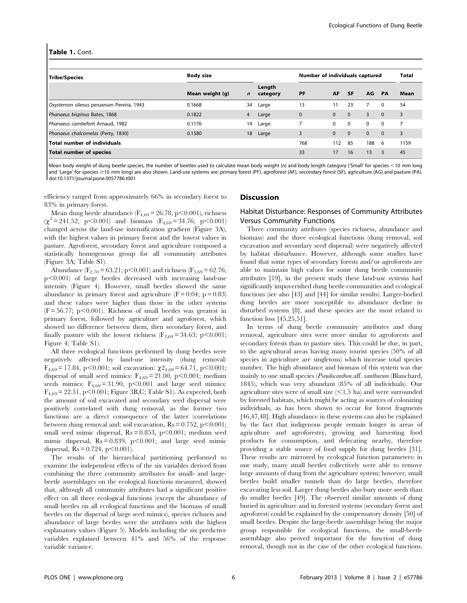#### Table 1. Cont.

| <b>Tribe/Species</b>                      | <b>Body size</b> |             |                    | <b>Number of individuals captured</b> |              |           |                |           | <b>Total</b> |
|-------------------------------------------|------------------|-------------|--------------------|---------------------------------------|--------------|-----------|----------------|-----------|--------------|
|                                           | Mean weight (g)  | $\mathbf n$ | Length<br>category | PF                                    | AF           | <b>SF</b> | <b>AG</b>      | <b>PA</b> | Mean         |
| Oxysternon silenus peruanum Pereira, 1943 | 0.1668           | 34          | Large              | 13                                    | 11           | 23        |                | $\Omega$  | 54           |
| Phanaeus bispinus Bates, 1868             | 0.1822           | 4           | Large              | $\mathbf 0$                           | $\mathbf{0}$ | $\Omega$  | $\overline{3}$ | $\Omega$  | 3            |
| Phanaeus cambeforti Arnaud, 1982          | 0.1176           | 14          | Large              |                                       | $\Omega$     | $\Omega$  | $\Omega$       | $\Omega$  | 7            |
| Phanaeus chalcomelas (Perty, 1830)        | 0.1580           | 18          | Large              | 3                                     | $\Omega$     | $\Omega$  | $\Omega$       | $\Omega$  | 3            |
| Total number of individuals               |                  |             |                    | 768                                   | 112          | 85        | 188            | -6        | 1159         |
| <b>Total number of species</b>            |                  |             |                    | 33                                    | 17           | 16        | 13             | 3         | 45           |

Mean body weight of dung beetle species, the number of beetles used to calculate mean body weight (n) and body length category ('Small' for species <10 mm long and 'Large' for species ≥10 mm long) are also shown. Land-use systems are: primary forest (PF), agroforest (AF), secondary forest (SF), agriculture (AG) and pasture (PA). doi:10.1371/journal.pone.0057786.t001

efficiency ranged from approximately 66% in secondary forest to 83% in primary forest.

Mean dung beetle abundance ( $F_{4,69}$  = 26.78, p<0.001), richness  $(\chi^2 = 241.52, p<0.001)$  and biomass  $(F_{4.69} = 34.76, p<0.001)$ changed across the land-use intensification gradient (Figure 3A), with the highest values in primary forest and the lowest values in pasture. Agroforest, secondary forest and agriculture composed a statistically homogenous group for all community attributes (Figure 3A; Table S1).

Abundance (F<sub>2,70</sub> = 63.21; p $<$ 0.001) and richness (F<sub>3,69</sub> = 62.76;  $p<0.001$ ) of large beetles decreased with increasing land-use intensity (Figure 4). However, small beetles showed the same abundance in primary forest and agriculture ( $F = 0.04$ ; p = 0.83) and these values were higher than those in the other systems  $(F = 56.77; p < 0.001)$ . Richness of small beetles was greatest in primary forest, followed by agriculture and agroforest, which showed no difference between them, then secondary forest, and finally pasture with the lowest richness  $(F_{3,69} = 34.63; p < 0.001;$ Figure 4; Table S1).

All three ecological functions performed by dung beetles were negatively affected by land-use intensity (dung removal:  $F_{4,69} = 17.84$ , p $\leq 0.001$ ; soil excavation:  $\chi_{4,69} = 64.71$ , p $\leq 0.001$ ; dispersal of small seed mimics:  $F_{4,69} = 21.00$ , p $< 0.001$ ; medium seeds mimics:  $F_{4,69} = 31.90$ , p $<0.001$  and large seed mimics:  $F_{4,69} = 22.51$ , p $< 0.001$ ; Figure 3B,C; Table S1). As expected, both the amount of soil excavated and secondary seed dispersal were positively correlated with dung removal, as the former two functions are a direct consequence of the latter (correlations between dung removal and: soil excavation,  $\text{Rs} = 0.752$ ,  $p < 0.001$ ; small seed mimic dispersal,  $Rs = 0.853$ ,  $p < 0.001$ ; medium seed mimic dispersal,  $Rs = 0.839$ ,  $p < 0.001$ ; and large seed mimic dispersal,  $Rs = 0.724$ ,  $p < 0.001$ ).

The results of the hierarchical partitioning performed to examine the independent effects of the six variables derived from combining the three community attributes for small- and largebeetle assemblages on the ecological functions measured, showed that, although all community attributes had a significant positive effect on all three ecological functions (except the abundance of small beetles on all ecological functions and the biomass of small beetles on the dispersal of large seed mimics), species richness and abundance of large beetles were the attributes with the highest explanatory values (Figure 5). Models including the six predictive variables explained between 41% and 56% of the response variable variance.

# **Discussion**

# Habitat Disturbance: Responses of Community Attributes Versus Community Functions

Three community attributes (species richness, abundance and biomass) and the three ecological functions (dung removal, soil excavation and secondary seed dispersal) were negatively affected by habitat disturbance. However, although some studies have found that some types of secondary forests and/or agroforests are able to maintain high values for some dung beetle community attributes [19], in the present study these land-use systems had significantly impoverished dung beetle communities and ecological functions (see also [43] and [44] for similar results). Larger-bodied dung beetles are more susceptible to abundance decline in disturbed systems [8], and these species are the most related to function loss [45,25,51].

In terms of dung beetle community attributes and dung removal, agriculture sites were more similar to agroforests and secondary forests than to pasture sites. This could be due, in part, to the agricultural areas having many tourist species (50% of all species in agriculture are singletons) which increase total species number. The high abundance and biomass of this system was due mainly to one small species (Pseudocanthon.aff. xanthurum (Blanchard, 1845), which was very abundant (85% of all individuals). Our agriculture sites were of small size  $\leq 1.5$  ha) and were surrounded by forested habitats, which might be acting as sources of colonizing individuals, as has been shown to occur for forest fragments [46,47,48]. High abundance in these systems can also be explained by the fact that indigenous people remain longer in areas of agriculture and agroforestry, growing and harvesting food products for consumption, and defecating nearby, therefore providing a stable source of food supply for dung beetles [31]. These results are mirrored by ecological function parameters: in our study, many small beetles collectively were able to remove large amounts of dung from the agriculture system; however, small beetles build smaller tunnels than do large beetles, therefore excavating less soil. Larger dung beetles also bury more seeds than do smaller beetles [49]. The observed similar amounts of dung buried in agriculture and in forested systems (secondary forest and agroforest) could be explained by the compensatory density [50] of small beetles. Despite the large-beetle assemblage being the major group responsible for ecological functions, the small-beetle assemblage also proved important for the function of dung removal, though not in the case of the other ecological functions.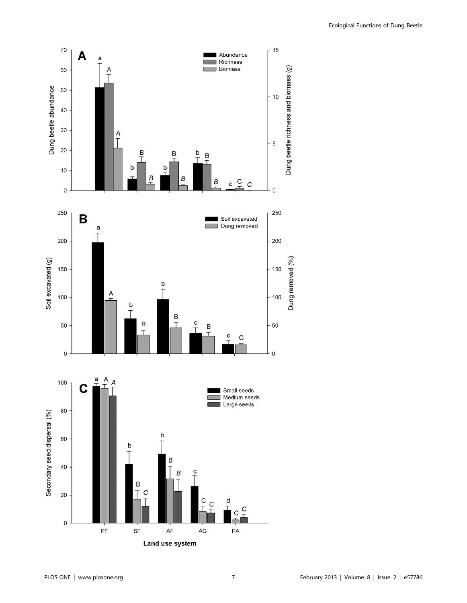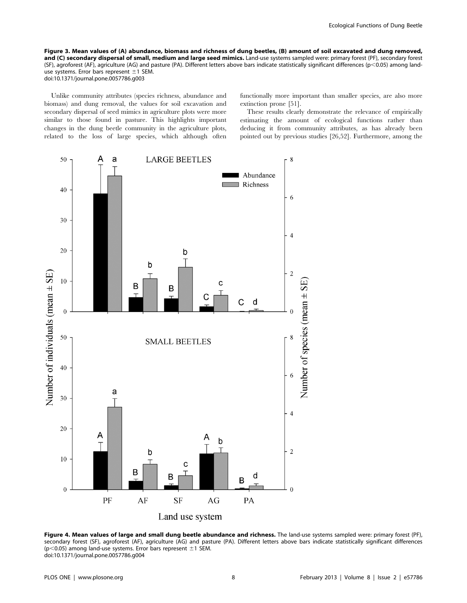Figure 3. Mean values of (A) abundance, biomass and richness of dung beetles, (B) amount of soil excavated and dung removed, and (C) secondary dispersal of small, medium and large seed mimics. Land-use systems sampled were: primary forest (PF), secondary forest (SF), agroforest (AF), agriculture (AG) and pasture (PA). Different letters above bars indicate statistically significant differences (p<0.05) among landuse systems. Error bars represent  $\pm 1$  SEM. doi:10.1371/journal.pone.0057786.g003

Unlike community attributes (species richness, abundance and biomass) and dung removal, the values for soil excavation and secondary dispersal of seed mimics in agriculture plots were more similar to those found in pasture. This highlights important changes in the dung beetle community in the agriculture plots, related to the loss of large species, which although often functionally more important than smaller species, are also more extinction prone [51].

These results clearly demonstrate the relevance of empirically estimating the amount of ecological functions rather than deducing it from community attributes, as has already been pointed out by previous studies [26,52]. Furthermore, among the



Figure 4. Mean values of large and small dung beetle abundance and richness. The land-use systems sampled were: primary forest (PF), secondary forest (SF), agroforest (AF), agriculture (AG) and pasture (PA). Different letters above bars indicate statistically significant differences (p<0.05) among land-use systems. Error bars represent  $\pm 1$  SEM. doi:10.1371/journal.pone.0057786.g004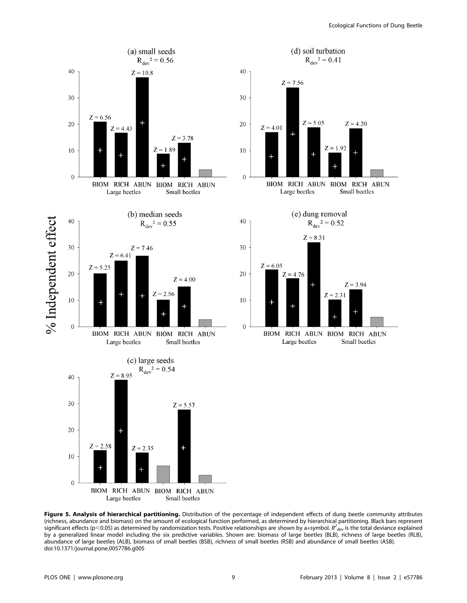

Figure 5. Analysis of hierarchical partitioning. Distribution of the percentage of independent effects of dung beetle community attributes (richness, abundance and biomass) on the amount of ecological function performed, as determined by hierarchical partitioning. Black bars represent significant effects (p<0.05) as determined by randomization tests. Positive relationships are shown by a+symbol.  $R^2_{\ dev}$  is the total deviance explained by a generalized linear model including the six predictive variables. Shown are: biomass of large beetles (BLB), richness of large beetles (RLB), abundance of large beetles (ALB), biomass of small beetles (BSB), richness of small beetles (RSB) and abundance of small beetles (ASB). doi:10.1371/journal.pone.0057786.g005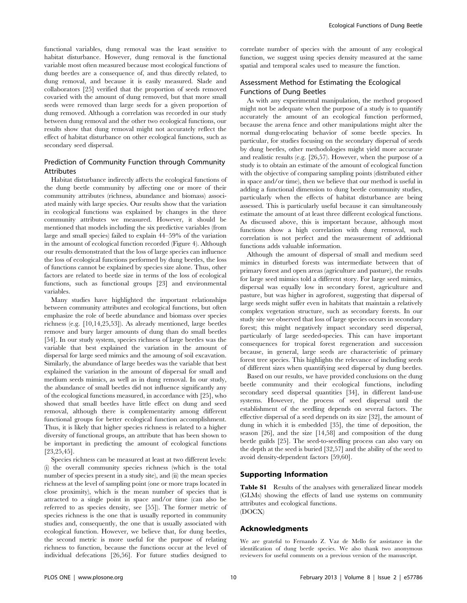functional variables, dung removal was the least sensitive to habitat disturbance. However, dung removal is the functional variable most often measured because most ecological functions of dung beetles are a consequence of, and thus directly related, to dung removal, and because it is easily measured. Slade and collaborators [25] verified that the proportion of seeds removed covaried with the amount of dung removed, but that more small seeds were removed than large seeds for a given proportion of dung removed. Although a correlation was recorded in our study between dung removal and the other two ecological functions, our results show that dung removal might not accurately reflect the effect of habitat disturbance on other ecological functions, such as secondary seed dispersal.

# Prediction of Community Function through Community **Attributes**

Habitat disturbance indirectly affects the ecological functions of the dung beetle community by affecting one or more of their community attributes (richness, abundance and biomass) associated mainly with large species. Our results show that the variation in ecological functions was explained by changes in the three community attributes we measured. However, it should be mentioned that models including the six predictive variables (from large and small species) failed to explain 44–59% of the variation in the amount of ecological function recorded (Figure 4). Although our results demonstrated that the loss of large species can influence the loss of ecological functions performed by dung beetles, the loss of functions cannot be explained by species size alone. Thus, other factors are related to beetle size in terms of the loss of ecological functions, such as functional groups [23] and environmental variables.

Many studies have highlighted the important relationships between community attributes and ecological functions, but often emphasize the role of beetle abundance and biomass over species richness (e.g. [10,14,25,53]). As already mentioned, large beetles remove and bury larger amounts of dung than do small beetles [54]. In our study system, species richness of large beetles was the variable that best explained the variation in the amount of dispersal for large seed mimics and the amoung of soil excavation. Similarly, the abundance of large beetles was the variable that best explained the variation in the amount of dispersal for small and medium seeds mimics, as well as in dung removal. In our study, the abundance of small beetles did not influence significantly any of the ecological functions measured, in accordance with [25], who showed that small beetles have little effect on dung and seed removal, although there is complementarity among different functional groups for better ecological function accomplishment. Thus, it is likely that higher species richness is related to a higher diversity of functional groups, an attribute that has been shown to be important in predicting the amount of ecological functions [23,25,45].

Species richness can be measured at least at two different levels: (i) the overall community species richness (which is the total number of species present in a study site), and (ii) the mean species richness at the level of sampling point (one or more traps located in close proximity), which is the mean number of species that is attracted to a single point in space and/or time (can also be referred to as species density, see [55]). The former metric of species richness is the one that is usually reported in community studies and, consequently, the one that is usually associated with ecological function. However, we believe that, for dung beetles, the second metric is more useful for the purpose of relating richness to function, because the functions occur at the level of individual defecations [26,56]. For future studies designed to correlate number of species with the amount of any ecological function, we suggest using species density measured at the same spatial and temporal scales used to measure the function.

# Assessment Method for Estimating the Ecological Functions of Dung Beetles

As with any experimental manipulation, the method proposed might not be adequate when the purpose of a study is to quantify accurately the amount of an ecological function performed, because the arena fence and other manipulations might alter the normal dung-relocating behavior of some beetle species. In particular, for studies focusing on the secondary dispersal of seeds by dung beetles, other methodologies might yield more accurate and realistic results (e.g. [26,57). However, when the purpose of a study is to obtain an estimate of the amount of ecological function with the objective of comparing sampling points (distributed either in space and/or time), then we believe that our method is useful in adding a functional dimension to dung beetle community studies, particularly when the effects of habitat disturbance are being assessed. This is particularly useful because it can simultaneously estimate the amount of at least three different ecological functions. As discussed above, this is important because, although most functions show a high correlation with dung removal, such correlation is not perfect and the measurement of additional functions adds valuable information.

Although the amount of dispersal of small and medium seed mimics in disturbed forests was intermediate between that of primary forest and open areas (agriculture and pasture), the results for large seed mimics told a different story. For large seed mimics, dispersal was equally low in secondary forest, agriculture and pasture, but was higher in agroforest, suggesting that dispersal of large seeds might suffer even in habitats that maintain a relatively complex vegetation structure, such as secondary forests. In our study site we observed that loss of large species occurs in secondary forest; this might negatively impact secondary seed dispersal, particularly of large seeded-species. This can have important consequences for tropical forest regeneration and succession because, in general, large seeds are characteristic of primary forest tree species. This highlights the relevance of including seeds of different sizes when quantifying seed dispersal by dung beetles.

Based on our results, we have provided conclusions on the dung beetle community and their ecological functions, including secondary seed dispersal quantities [34], in different land-use systems. However, the process of seed dispersal until the establishment of the seedling depends on several factors. The effective dispersal of a seed depends on its size [32], the amount of dung in which it is embedded [35], the time of deposition, the season [26], and the size [14,58] and composition of the dung beetle guilds [25]. The seed-to-seedling process can also vary on the depth at the seed is buried [32,57] and the ability of the seed to avoid density-dependent factors [59,60].

# Supporting Information

Table S1 Results of the analyses with generalized linear models (GLMs) showing the effects of land use systems on community attributes and ecological functions. (DOCX)

## Acknowledgments

We are grateful to Fernando Z. Vaz de Mello for assistance in the identification of dung beetle species. We also thank two anonymous reviewers for useful comments on a previous version of the manuscript.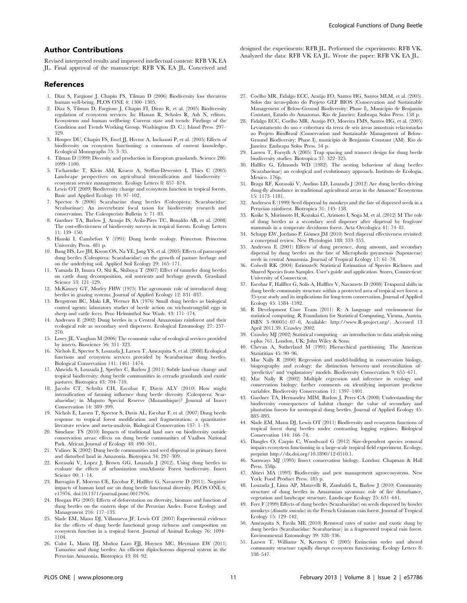Revised interpreted results and improved intellectual content: RFB VK EA JL. Final approval of the manuscript: RFB VK EA JL. Conceived and

#### References

- 1. Díaz S, Fargione J, Chapin FS, Tilman D (2006) Biodiversity loss threatens human well-being. PLOS ONE 4: 1300–1305.
- 2. Díaz S, Tilman D, Fargione J, Chapin FI, Dirzo R, et al. (2005) Biodiversity regulation of ecosystem services. In: Hassan R, Scholes R, Ash N, editors. Ecosystems and human wellbeing: Current state and trends: Findings of the Condition and Trends Working Group. Washington (D. C.): Island Press. 297– 329.
- 3. Hooper DU, Chapin FS, Ewel JJ, Hector A, Inchausti P, et al. (2005) Effects of biodiversity on ecosystem functioning: a consensus of current knowledge. Ecological Monographs 75: 3–35.
- 4. Tilman D (1999) Diversity and production in European grasslands. Science 286: 1099–1100.
- 5. Tscharntke T, Klein AM, Kruess A, Steffan-Dewenter I, Thies C (2005) Landscape perspectives on agricultural intensification and biodiversity – ecosystem service management. Ecology Letters 8: 857–874.
- 6. Lewis OT (2009) Biodiversity change and ecosystem function in tropical forests. Basic and Applied Ecology 10: 97–102.
- 7. Spector S (2006) Scarabaeine dung beetles (Coleoptera: Scarabaeidae: Scrabaeinae): An invertebrate focal taxon for biodiversity research and conservation. The Coleopterists Bulletin 5: 71–83.
- 8. Gardner TA, Barlow J, Araujo IS, Ávila-Pires TC, Bonaldo AB, et al. (2008) The cost-effectiveness of biodiversity surveys in tropical forests. Ecology Letters 11: 139–150.
- 9. Hanski I, Cambefort Y (1991) Dung beetle ecology. Princeton: Princeton University Press. 481 p.
- 10. Bang HS, Lee JH, Kwon OS, Na YE, Jang YS, et al. (2005) Effects of paracoprid dung beetles (Coleoptera: Scarabaeidae) on the growth of pasture herbage and on the underlying soil. Applied Soil Ecology 29: 165–171.
- 11. Yamada D, Imura O, Shi K, Shibuya T (2007) Effect of tunneler dung beetles on cattle dung decomposition, soil nutrients and herbage growth. Grassland Science 53: 121–129.
- 12. McKinney GT, Morley FHW (1975) The agronomic role of introduced dung beetles in grazing systems. Journal of Applied Ecology 12: 831–837.
- 13. Bergstrom BC, Maki LR, Werner BA (1976) Small dung beetles as biological control agents: laboratory studies of beetle action on trichostrongylid eggs in sheep and cattle feces. Proc Helminthol Soc Wash. 43: 171–174.
- 14. Andresen E (2002) Dung beetles in a Central Amazonian rainforest and their ecological role as secondary seed dispersers. Ecological Entomology 27: 257– 270.
- 15. Losey JE, Vaughan M (2006) The economic value of ecological services provided by insects. Bioscience 56: 311–323.
- 16. Nichols E, Spector S, Louzada J, Larsen T, Amezquita S, et al. (2008) Ecological functions and ecosystem services provided by Scarabaeinae dung beetles. Biological Conservation 141: 1461–1474.
- 17. Almeida S, Louzada J, Sperber C, Barlow J (2011) Subtle land-use change and tropical biodiversity: dung beetle communities in cerrado grasslands and exotic pastures. Biotropica 43: 704–710.
- 18. Jacobs CT, Scholtz CH, Escobar F, Davis ALV (2010) How might intensification of farming influence dung beetle diversity (Coleoptera: Scarabaeidae) in Maputo Special Reserve (Mozambique)? Journal of Insect Conservation 14: 389–399.
- 19. Nichols E, Larsen T, Spector S, Davis AL, Escobar F, et al. (2007) Dung beetle response to tropical forest modification and fragmentation: a quantitative literature review and meta-analysis. Biological Conservation 137: 1–19.
- 20. Simelane TS (2010) Impacts of traditional land uses on biodiversity outside conservation areas: effects on dung beetle communities of Vaalbos National Park. African Journal of Ecology 48: 490–501.
- 21. Vulinec K (2002) Dung beetle communities and seed dispersal in primary forest and disturbed land in Amazonia. Biotropica 34: 297–309.
- 22. Korasaki V, Lopez J, Brown GG, Louzada J (2012). Using dung beetles to evaluate the effects of urbanization onnAtlantic Forest biodiversity. Insect Science 00: 1–14.
- 23. Barragán F, Moreno CE, Escobar F, Halffter G, Navarrete D (2011). Negative impacts of human land use on dung beetle functional diversity. PLOS ONE 6: e17976. doi:10.1371/journal.pone.0017976.
- 24. Horgan FG (2005) Effects of deforestation on diversity, biomass and function of dung beetles on the eastern slope of the Peruvian Andes. Forest Ecology and Management 216: 117–133.
- 25. Slade EM, Mann DJ, Villanueva JF, Lewis OT (2007) Experimental evidence for the effects of dung beetle functional group richness and composition on ecosystem function in a tropical forest. Journal of Animal Ecology 76: 1094– 1104.
- 26. Culot L, Mann DJ, Muñoz Lazo FJJ, Huynen MC, Heymann EW (2011) Tamarins and dung beetles: An efficient diplochorous dispersal system in the Peruvian Amazonia. Biotropica 43: 84–92.

designed the experiments: RFB JL. Performed the experiments: RFB VK. Analyzed the data: RFB VK EA JL. Wrote the paper: RFB VK EA JL.

- 27. Coelho MR, Fidalgo ECC, Arau´jo FO, Santos HG, Santos MLM, et al. (2005). Solos das áreas-piloto do Projeto GEF BIOS (Conservation and Sustainable Management of Below-Ground Biodiversity: Phase I), Município de Benjamin Constant, Estado do Amazonas. Rio de Janeiro: Embrapa Solos Press. 158 p.
- 28. Fidalgo ECC, Coelho MR, Arau´jo FO, Moreira FMS, Santos HG, et al. (2005) Levantamento do uso e cobertura da terra de seis áreas amostrais relacionadas ao Projeto BiosBrasil (Conservation and Sustainable Management of Below-Ground Biodiversity: Phase I), município de Benjamin Constant (AM). Rio de Janeiro: Embrapa Solos Press. 54 p.
- 29. Larsen T, Forsyth A (2005) Trap spacing and transect design for dung beetle biodiversity studies. Biotropica 37: 322–325.
- 30. Halffer G, Edmonds WD (1982). The nesting behaviour of dung beetles (Scarabaeinae) an ecological and evolutionary approach. Instituto de Ecologia, Mexico. 176p.
- 31. Braga RF, Korasaki V, Audino LD, Louzada J (2012) Are dung beetles driving dung-fly abundance in traditional agricultural areas in the Amazon? Ecosystems 15: 1173–1181.
- 32. Andresen E (1999) Seed dispersal by monkeys and the fate of dispersed seeds in a Peruvian rainforest. Biotropica 31: 145–158.
- 33. Koike S, Morimoto H, Kozakai C, Arimoto I, Soga M, et al. (2012) M The role of dung beetles as a secondary seed disperser after dispersal by frugivore mammals in a temperate deciduous forest. Acta Oecologica 41: 74–81.
- 34. Schupp EW, Jordano P, Gómez JM (2010) Seed dispersal effectiveness revisited: a conceptual review. New Phytologist 188: 333–353.
- 35. Andresen E (2001) Effects of dung presence, dung amount, and secondary dispersal by dung beetles on the fate of Micropholis guyanensis (Sapotaceae) seeds in central Amazonia. Journal of Tropical Ecology 17: 61–78.
- 36. Colwell RK (2004) EstimateS: Statistical Estimation of Species Richness and Shared Species from Samples. User's guide and application. Storrs, Connecticut: University of Connecticut.
- 37. Escobar F, Halffter G, Solís A, Halffter V, Navarrete D (2008) Temporal shifts in dung beetle community structure within a protected area of tropical wet forest: a 35-year study and its implications for long-term conservation. Journal of Applied Ecology 45: 1584–1592.
- 38. R Development Core Team (2011) R: A language and environment for statistical computing. R Foundation for Statistical Computing, Vienna, Austria. ISBN 3–900051–07–0, Available: http://www.R-project.org/. Accessed 13 April 2011.39. Crawley 2002.
- 39. Crawley MJ (2002) Statistical computing an introduction to data analysis using s-plus 761. London, UK: John Wiley & Sons.
- 40. Chevan A, Sutherland M (1991) Hierarchical partitioning. The American Statistitian 45: 90–96.
- 41. Mac Nally R (2000) Regression and model-building in conservation biology, biogeography and ecology: the distinction between–and reconciliation of– 'predictive' and 'explanatory' models. Biodiversity Conservation 9: 655–671.
- 42. Mac Nally R (2002) Multiple regression and inference in ecology and conservation biology: further comments on identifying important predictor variables. Biodiversity Conservation 11: 1397–1401.
- 43. Gardner TA, Hernandez MIM, Barlow J, Peres CA (2008) Understanding the biodiversity consequences of habitat change: the value of secondary and plantation forests for neotropical dung beetles. Journal of Applied Ecology 45: 883–893.
- 44. Slade EM, Mann DJ, Lewis OT (2011) Biodiversity and ecosystem functions of tropical forest dung beetles under contrasting logging regimes. Biological Conservation 144: 166–74.
- 45. Dangles O, Carpio C, Woodward G (2012) Size-dependent species removal impairs ecosystem functioning in a large-scale tropical field experiment. Ecology, preprint http://dx.doi.org/10.1890/12-0510.1.
- 46. Samways MJ (1995) Insect conservation biology. London: Chapman & Hall Press. 358p.
- 47. Altieri MA (1993) Biodiversity and pest management agroecosystems. New York: Food Product Press. 185 p.
- 48. Louzada J, Lima AP, Matavelli R, Zambaldi L, Barlow J (2010) Community structure of dung beetles in Amazonian savannas: role of fire disturbance, vegetation and landscape structure. Landscape Ecology 25: 631–641.
- 49. Feer F (1999) Effects of dung beetles (Scarabaeidae) on seeds dispersed by howler monkeys (Alouatta seniculus) in the French Guianan rain forest. Journal of Tropical Ecology 15: 129–142.
- 50. Ame´zquita S, Favila ME (2010) Removal rates of native and exotic dung by dung beetles (Scarabaeidae: Scarabaeinae) in a fragmented tropical rain forest. Environmental Entomology 39: 328–336.
- 51. Larsen T, Williams N, Kremen C (2005) Extinction order and altered community structure rapidly disrupt ecosystem functioning. Ecology Letters 8: 538–547.